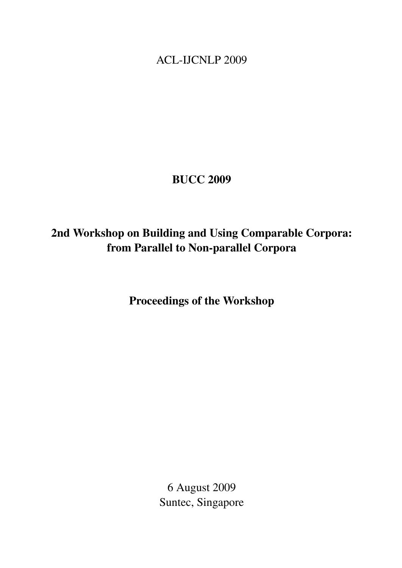<span id="page-0-0"></span>ACL-IJCNLP 2009

## BUCC 2009

# 2nd Workshop on Building and Using Comparable Corpora: from Parallel to Non-parallel Corpora

Proceedings of the Workshop

6 August 2009 Suntec, Singapore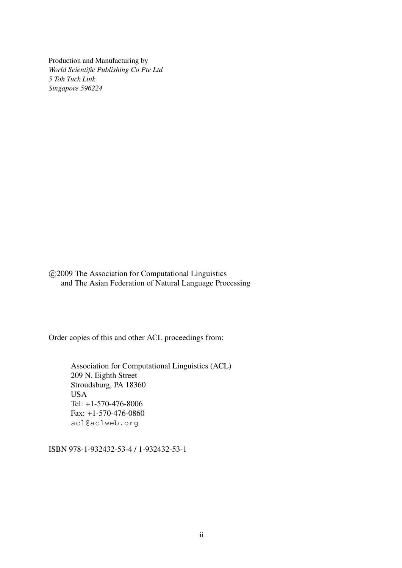Production and Manufacturing by *World Scientific Publishing Co Pte Ltd 5 Toh Tuck Link Singapore 596224*

 c 2009 The Association for Computational Linguistics and The Asian Federation of Natural Language Processing

Order copies of this and other ACL proceedings from:

Association for Computational Linguistics (ACL) 209 N. Eighth Street Stroudsburg, PA 18360 USA Tel: +1-570-476-8006 Fax: +1-570-476-0860 acl@aclweb.org

ISBN 978-1-932432-53-4 / 1-932432-53-1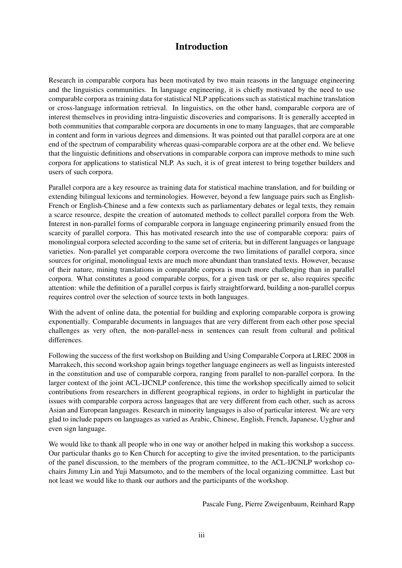## Introduction

Research in comparable corpora has been motivated by two main reasons in the language engineering and the linguistics communities. In language engineering, it is chiefly motivated by the need to use comparable corpora as training data for statistical NLP applications such as statistical machine translation or cross-language information retrieval. In linguistics, on the other hand, comparable corpora are of interest themselves in providing intra-linguistic discoveries and comparisons. It is generally accepted in both communities that comparable corpora are documents in one to many languages, that are comparable in content and form in various degrees and dimensions. It was pointed out that parallel corpora are at one end of the spectrum of comparability whereas quasi-comparable corpora are at the other end. We believe that the linguistic definitions and observations in comparable corpora can improve methods to mine such corpora for applications to statistical NLP. As such, it is of great interest to bring together builders and users of such corpora.

Parallel corpora are a key resource as training data for statistical machine translation, and for building or extending bilingual lexicons and terminologies. However, beyond a few language pairs such as English-French or English-Chinese and a few contexts such as parliamentary debates or legal texts, they remain a scarce resource, despite the creation of automated methods to collect parallel corpora from the Web. Interest in non-parallel forms of comparable corpora in language engineering primarily ensued from the scarcity of parallel corpora. This has motivated research into the use of comparable corpora: pairs of monolingual corpora selected according to the same set of criteria, but in different languages or language varieties. Non-parallel yet comparable corpora overcome the two limitations of parallel corpora, since sources for original, monolingual texts are much more abundant than translated texts. However, because of their nature, mining translations in comparable corpora is much more challenging than in parallel corpora. What constitutes a good comparable corpus, for a given task or per se, also requires specific attention: while the definition of a parallel corpus is fairly straightforward, building a non-parallel corpus requires control over the selection of source texts in both languages.

With the advent of online data, the potential for building and exploring comparable corpora is growing exponentially. Comparable documents in languages that are very different from each other pose special challenges as very often, the non-parallel-ness in sentences can result from cultural and political differences.

Following the success of the first workshop on Building and Using Comparable Corpora at LREC 2008 in Marrakech, this second workshop again brings together language engineers as well as linguists interested in the constitution and use of comparable corpora, ranging from parallel to non-parallel corpora. In the larger context of the joint ACL-IJCNLP conference, this time the workshop specifically aimed to solicit contributions from researchers in different geographical regions, in order to highlight in particular the issues with comparable corpora across languages that are very different from each other, such as across Asian and European languages. Research in minority languages is also of particular interest. We are very glad to include papers on languages as varied as Arabic, Chinese, English, French, Japanese, Uyghur and even sign language.

We would like to thank all people who in one way or another helped in making this workshop a success. Our particular thanks go to Ken Church for accepting to give the invited presentation, to the participants of the panel discussion, to the members of the program committee, to the ACL-IJCNLP workshop cochairs Jimmy Lin and Yuji Matsumoto, and to the members of the local organizing committee. Last but not least we would like to thank our authors and the participants of the workshop.

Pascale Fung, Pierre Zweigenbaum, Reinhard Rapp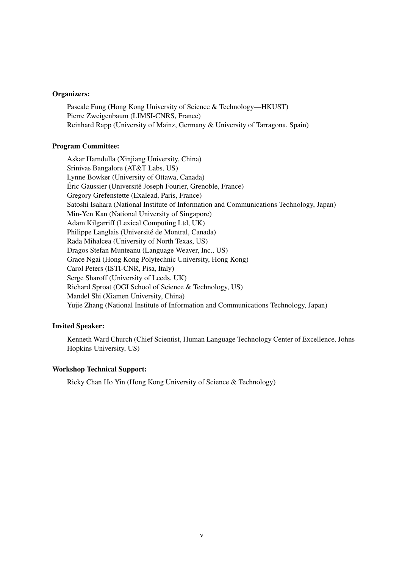#### Organizers:

Pascale Fung (Hong Kong University of Science & Technology—HKUST) Pierre Zweigenbaum (LIMSI-CNRS, France) Reinhard Rapp (University of Mainz, Germany & University of Tarragona, Spain)

### Program Committee:

Askar Hamdulla (Xinjiang University, China) Srinivas Bangalore (AT&T Labs, US) Lynne Bowker (University of Ottawa, Canada) Éric Gaussier (Université Joseph Fourier, Grenoble, France) Gregory Grefenstette (Exalead, Paris, France) Satoshi Isahara (National Institute of Information and Communications Technology, Japan) Min-Yen Kan (National University of Singapore) Adam Kilgarriff (Lexical Computing Ltd, UK) Philippe Langlais (Université de Montral, Canada) Rada Mihalcea (University of North Texas, US) Dragos Stefan Munteanu (Language Weaver, Inc., US) Grace Ngai (Hong Kong Polytechnic University, Hong Kong) Carol Peters (ISTI-CNR, Pisa, Italy) Serge Sharoff (University of Leeds, UK) Richard Sproat (OGI School of Science & Technology, US) Mandel Shi (Xiamen University, China) Yujie Zhang (National Institute of Information and Communications Technology, Japan)

### Invited Speaker:

Kenneth Ward Church (Chief Scientist, Human Language Technology Center of Excellence, Johns Hopkins University, US)

#### Workshop Technical Support:

Ricky Chan Ho Yin (Hong Kong University of Science & Technology)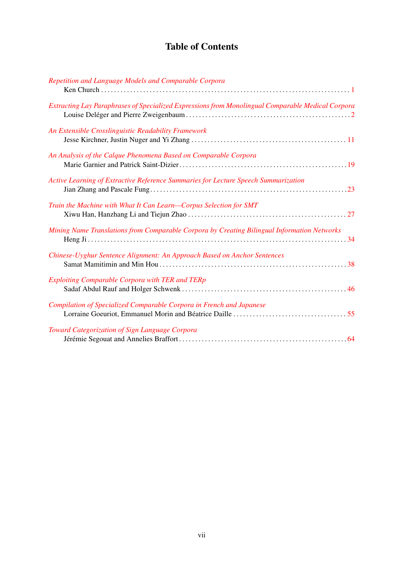## Table of Contents

| Repetition and Language Models and Comparable Corpora                                             |
|---------------------------------------------------------------------------------------------------|
| Extracting Lay Paraphrases of Specialized Expressions from Monolingual Comparable Medical Corpora |
| An Extensible Crosslinguistic Readability Framework                                               |
| An Analysis of the Calque Phenomena Based on Comparable Corpora                                   |
| Active Learning of Extractive Reference Summaries for Lecture Speech Summarization                |
| Train the Machine with What It Can Learn-Corpus Selection for SMT                                 |
| Mining Name Translations from Comparable Corpora by Creating Bilingual Information Networks       |
| Chinese-Uyghur Sentence Alignment: An Approach Based on Anchor Sentences                          |
| <b>Exploiting Comparable Corpora with TER and TERp</b>                                            |
| Compilation of Specialized Comparable Corpora in French and Japanese                              |
| Toward Categorization of Sign Language Corpora                                                    |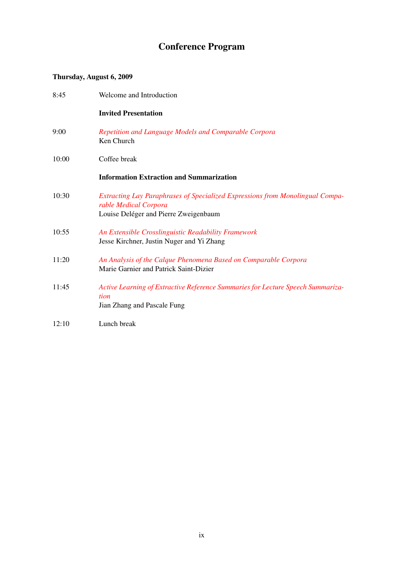# Conference Program

### Thursday, August 6, 2009

| 8:45  | Welcome and Introduction                                                                                                                        |
|-------|-------------------------------------------------------------------------------------------------------------------------------------------------|
|       | <b>Invited Presentation</b>                                                                                                                     |
| 9:00  | Repetition and Language Models and Comparable Corpora<br>Ken Church                                                                             |
| 10:00 | Coffee break                                                                                                                                    |
|       | <b>Information Extraction and Summarization</b>                                                                                                 |
| 10:30 | Extracting Lay Paraphrases of Specialized Expressions from Monolingual Compa-<br>rable Medical Corpora<br>Louise Deléger and Pierre Zweigenbaum |
| 10:55 | An Extensible Crosslinguistic Readability Framework<br>Jesse Kirchner, Justin Nuger and Yi Zhang                                                |
| 11:20 | An Analysis of the Calque Phenomena Based on Comparable Corpora<br>Marie Garnier and Patrick Saint-Dizier                                       |
| 11:45 | Active Learning of Extractive Reference Summaries for Lecture Speech Summariza-<br>tion<br>Jian Zhang and Pascale Fung                          |
| 12:10 | Lunch break                                                                                                                                     |